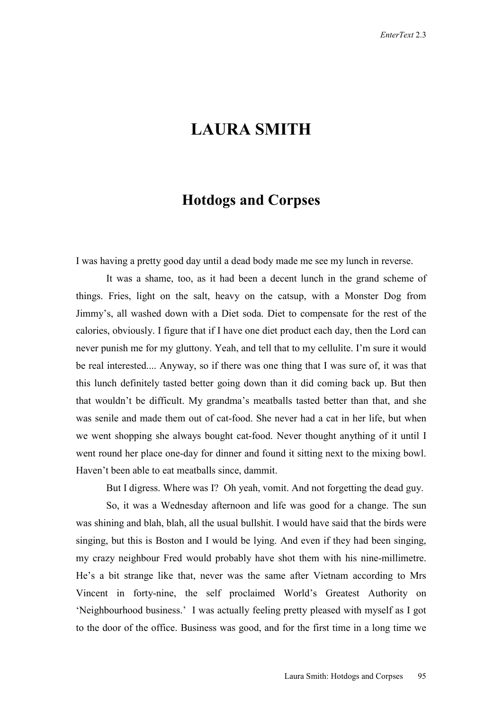## **LAURA SMITH**

## **Hotdogs and Corpses**

I was having a pretty good day until a dead body made me see my lunch in reverse.

It was a shame, too, as it had been a decent lunch in the grand scheme of things. Fries, light on the salt, heavy on the catsup, with a Monster Dog from Jimmy's, all washed down with a Diet soda. Diet to compensate for the rest of the calories, obviously. I figure that if I have one diet product each day, then the Lord can never punish me for my gluttony. Yeah, and tell that to my cellulite. I'm sure it would be real interested.... Anyway, so if there was one thing that I was sure of, it was that this lunch definitely tasted better going down than it did coming back up. But then that wouldn't be difficult. My grandma's meatballs tasted better than that, and she was senile and made them out of cat-food. She never had a cat in her life, but when we went shopping she always bought cat-food. Never thought anything of it until I went round her place one-day for dinner and found it sitting next to the mixing bowl. Haven't been able to eat meatballs since, dammit.

But I digress. Where was I? Oh yeah, vomit. And not forgetting the dead guy.

So, it was a Wednesday afternoon and life was good for a change. The sun was shining and blah, blah, all the usual bullshit. I would have said that the birds were singing, but this is Boston and I would be lying. And even if they had been singing, my crazy neighbour Fred would probably have shot them with his nine-millimetre. He's a bit strange like that, never was the same after Vietnam according to Mrs Vincent in forty-nine, the self proclaimed World's Greatest Authority on 'Neighbourhood business.' I was actually feeling pretty pleased with myself as I got to the door of the office. Business was good, and for the first time in a long time we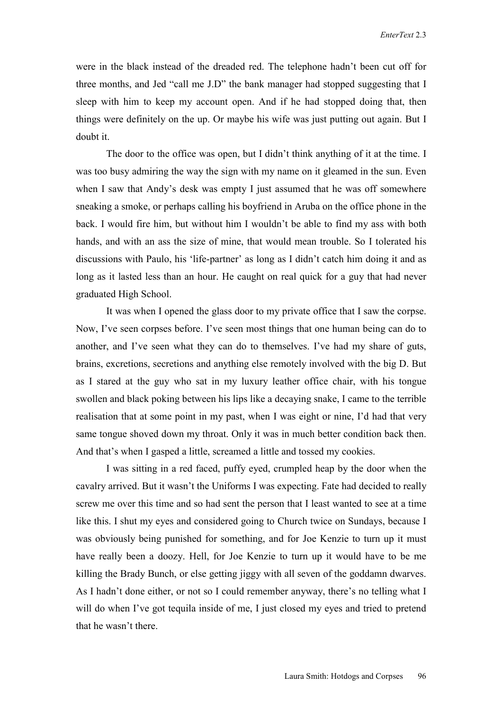were in the black instead of the dreaded red. The telephone hadn't been cut off for three months, and Jed "call me J.D" the bank manager had stopped suggesting that I sleep with him to keep my account open. And if he had stopped doing that, then things were definitely on the up. Or maybe his wife was just putting out again. But I doubt it.

The door to the office was open, but I didn't think anything of it at the time. I was too busy admiring the way the sign with my name on it gleamed in the sun. Even when I saw that Andy's desk was empty I just assumed that he was off somewhere sneaking a smoke, or perhaps calling his boyfriend in Aruba on the office phone in the back. I would fire him, but without him I wouldn't be able to find my ass with both hands, and with an ass the size of mine, that would mean trouble. So I tolerated his discussions with Paulo, his 'life-partner' as long as I didn't catch him doing it and as long as it lasted less than an hour. He caught on real quick for a guy that had never graduated High School.

It was when I opened the glass door to my private office that I saw the corpse. Now, I've seen corpses before. I've seen most things that one human being can do to another, and I've seen what they can do to themselves. I've had my share of guts, brains, excretions, secretions and anything else remotely involved with the big D. But as I stared at the guy who sat in my luxury leather office chair, with his tongue swollen and black poking between his lips like a decaying snake, I came to the terrible realisation that at some point in my past, when I was eight or nine, I'd had that very same tongue shoved down my throat. Only it was in much better condition back then. And that's when I gasped a little, screamed a little and tossed my cookies.

I was sitting in a red faced, puffy eyed, crumpled heap by the door when the cavalry arrived. But it wasn't the Uniforms I was expecting. Fate had decided to really screw me over this time and so had sent the person that I least wanted to see at a time like this. I shut my eyes and considered going to Church twice on Sundays, because I was obviously being punished for something, and for Joe Kenzie to turn up it must have really been a doozy. Hell, for Joe Kenzie to turn up it would have to be me killing the Brady Bunch, or else getting jiggy with all seven of the goddamn dwarves. As I hadn't done either, or not so I could remember anyway, there's no telling what I will do when I've got tequila inside of me, I just closed my eyes and tried to pretend that he wasn't there.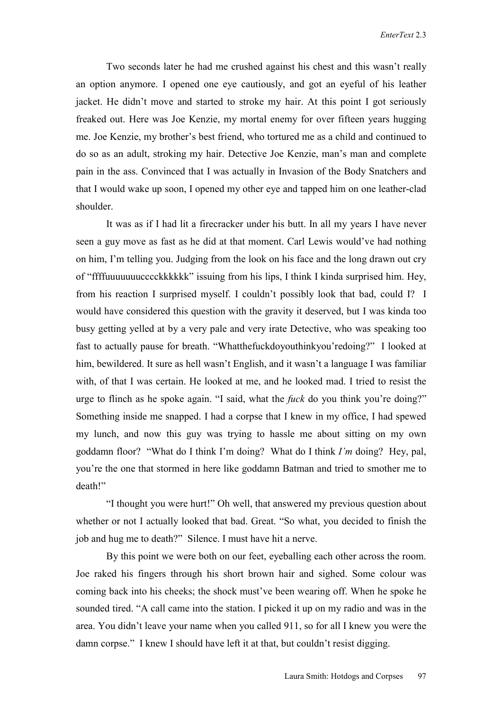Two seconds later he had me crushed against his chest and this wasn't really an option anymore. I opened one eye cautiously, and got an eyeful of his leather jacket. He didn't move and started to stroke my hair. At this point I got seriously freaked out. Here was Joe Kenzie, my mortal enemy for over fifteen years hugging me. Joe Kenzie, my brother's best friend, who tortured me as a child and continued to do so as an adult, stroking my hair. Detective Joe Kenzie, man's man and complete pain in the ass. Convinced that I was actually in Invasion of the Body Snatchers and that I would wake up soon, I opened my other eye and tapped him on one leather-clad shoulder.

It was as if I had lit a firecracker under his butt. In all my years I have never seen a guy move as fast as he did at that moment. Carl Lewis would've had nothing on him, I'm telling you. Judging from the look on his face and the long drawn out cry of "ffffuuuuuuucccckkkkkk" issuing from his lips, I think I kinda surprised him. Hey, from his reaction I surprised myself. I couldn't possibly look that bad, could I? I would have considered this question with the gravity it deserved, but I was kinda too busy getting yelled at by a very pale and very irate Detective, who was speaking too fast to actually pause for breath. "Whatthefuckdoyouthinkyou'redoing?" I looked at him, bewildered. It sure as hell wasn't English, and it wasn't a language I was familiar with, of that I was certain. He looked at me, and he looked mad. I tried to resist the urge to flinch as he spoke again. "I said, what the *fuck* do you think you're doing?" Something inside me snapped. I had a corpse that I knew in my office, I had spewed my lunch, and now this guy was trying to hassle me about sitting on my own goddamn floor? "What do I think I'm doing? What do I think *I'm* doing? Hey, pal, you're the one that stormed in here like goddamn Batman and tried to smother me to death!"

"I thought you were hurt!" Oh well, that answered my previous question about whether or not I actually looked that bad. Great. "So what, you decided to finish the job and hug me to death?" Silence. I must have hit a nerve.

By this point we were both on our feet, eyeballing each other across the room. Joe raked his fingers through his short brown hair and sighed. Some colour was coming back into his cheeks; the shock must've been wearing off. When he spoke he sounded tired. "A call came into the station. I picked it up on my radio and was in the area. You didn't leave your name when you called 911, so for all I knew you were the damn corpse." I knew I should have left it at that, but couldn't resist digging.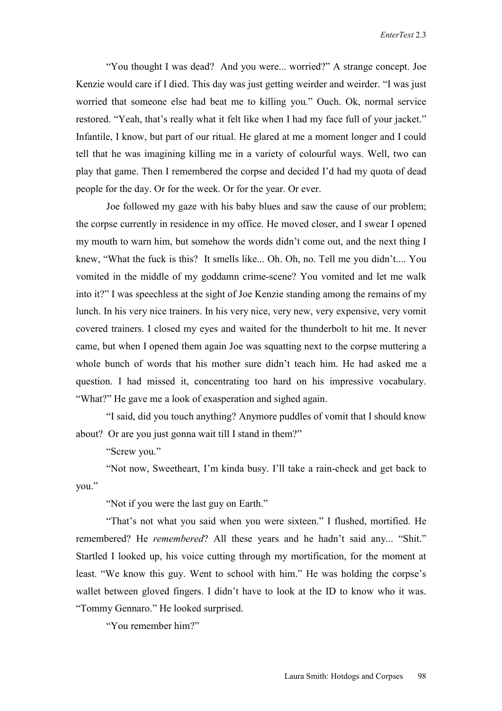"You thought I was dead? And you were... worried?" A strange concept. Joe Kenzie would care if I died. This day was just getting weirder and weirder. "I was just worried that someone else had beat me to killing you." Ouch. Ok, normal service restored. "Yeah, that's really what it felt like when I had my face full of your jacket." Infantile, I know, but part of our ritual. He glared at me a moment longer and I could tell that he was imagining killing me in a variety of colourful ways. Well, two can play that game. Then I remembered the corpse and decided I'd had my quota of dead people for the day. Or for the week. Or for the year. Or ever.

Joe followed my gaze with his baby blues and saw the cause of our problem; the corpse currently in residence in my office. He moved closer, and I swear I opened my mouth to warn him, but somehow the words didn't come out, and the next thing I knew, "What the fuck is this? It smells like... Oh. Oh, no. Tell me you didn't.... You vomited in the middle of my goddamn crime-scene? You vomited and let me walk into it?" I was speechless at the sight of Joe Kenzie standing among the remains of my lunch. In his very nice trainers. In his very nice, very new, very expensive, very vomit covered trainers. I closed my eyes and waited for the thunderbolt to hit me. It never came, but when I opened them again Joe was squatting next to the corpse muttering a whole bunch of words that his mother sure didn't teach him. He had asked me a question. I had missed it, concentrating too hard on his impressive vocabulary. "What?" He gave me a look of exasperation and sighed again.

"I said, did you touch anything? Anymore puddles of vomit that I should know about? Or are you just gonna wait till I stand in them?"

"Screw you."

"Not now, Sweetheart, I'm kinda busy. I'll take a rain-check and get back to you."

"Not if you were the last guy on Earth."

"That's not what you said when you were sixteen." I flushed, mortified. He remembered? He *remembered*? All these years and he hadn't said any... "Shit." Startled I looked up, his voice cutting through my mortification, for the moment at least. "We know this guy. Went to school with him." He was holding the corpse's wallet between gloved fingers. I didn't have to look at the ID to know who it was. "Tommy Gennaro." He looked surprised.

"You remember him?"